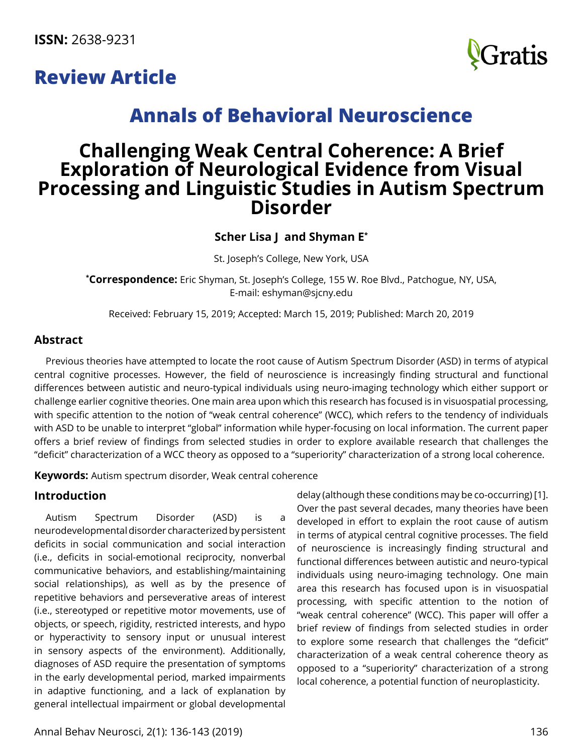**ISSN:** 2638-9231





# **Annals of Behavioral Neuroscience**

# **Challenging Weak Central Coherence: A Brief Exploration of Neurological Evidence from Visual Processing and Linguistic Studies in Autism Spectrum Disorder**

# **Scher Lisa J and Shyman E\***

St. Joseph's College, New York, USA

**\* Correspondence:** Eric Shyman, St. Joseph's College, 155 W. Roe Blvd., Patchogue, NY, USA, E-mail: [eshyman@sjcny.edu](mailto:eshyman@sjcny.edu)

Received: February 15, 2019; Accepted: March 15, 2019; Published: March 20, 2019

## **Abstract**

Previous theories have attempted to locate the root cause of Autism Spectrum Disorder (ASD) in terms of atypical central cognitive processes. However, the field of neuroscience is increasingly finding structural and functional differences between autistic and neuro-typical individuals using neuro-imaging technology which either support or challenge earlier cognitive theories. One main area upon which this research has focused is in visuospatial processing, with specific attention to the notion of "weak central coherence" (WCC), which refers to the tendency of individuals with ASD to be unable to interpret "global" information while hyper-focusing on local information. The current paper offers a brief review of findings from selected studies in order to explore available research that challenges the "deficit" characterization of a WCC theory as opposed to a "superiority" characterization of a strong local coherence.

**Keywords:** Autism spectrum disorder, Weak central coherence

# **Introduction**

Autism Spectrum Disorder (ASD) is a neurodevelopmental disorder characterized by persistent deficits in social communication and social interaction (i.e., deficits in social-emotional reciprocity, nonverbal communicative behaviors, and establishing/maintaining social relationships), as well as by the presence of repetitive behaviors and perseverative areas of interest (i.e., stereotyped or repetitive motor movements, use of objects, or speech, rigidity, restricted interests, and hypo or hyperactivity to sensory input or unusual interest in sensory aspects of the environment). Additionally, diagnoses of ASD require the presentation of symptoms in the early developmental period, marked impairments in adaptive functioning, and a lack of explanation by general intellectual impairment or global developmental

delay (although these conditions may be co-occurring) [1]. Over the past several decades, many theories have been developed in effort to explain the root cause of autism in terms of atypical central cognitive processes. The field of neuroscience is increasingly finding structural and functional differences between autistic and neuro-typical individuals using neuro-imaging technology. One main area this research has focused upon is in visuospatial processing, with specific attention to the notion of "weak central coherence" (WCC). This paper will offer a brief review of findings from selected studies in order to explore some research that challenges the "deficit" characterization of a weak central coherence theory as opposed to a "superiority" characterization of a strong local coherence, a potential function of neuroplasticity.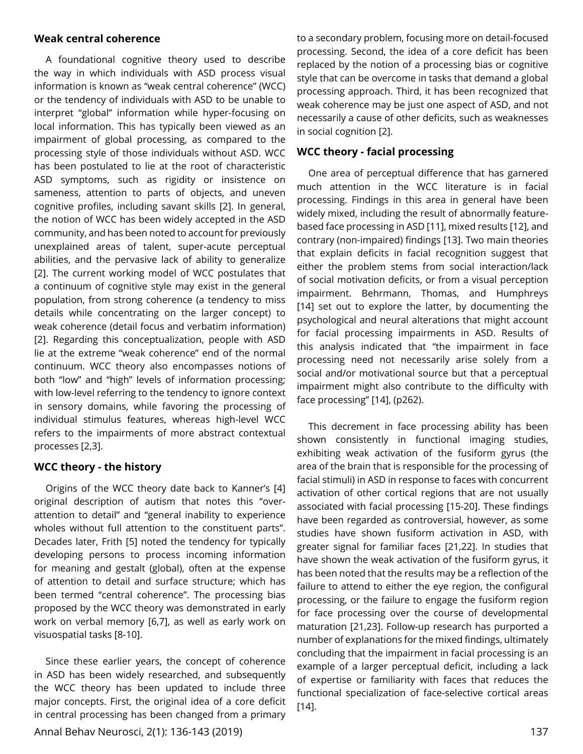#### **Weak central coherence**

A foundational cognitive theory used to describe the way in which individuals with ASD process visual information is known as "weak central coherence" (WCC) or the tendency of individuals with ASD to be unable to interpret "global" information while hyper-focusing on local information. This has typically been viewed as an impairment of global processing, as compared to the processing style of those individuals without ASD. WCC has been postulated to lie at the root of characteristic ASD symptoms, such as rigidity or insistence on sameness, attention to parts of objects, and uneven cognitive profiles, including savant skills [2]. In general, the notion of WCC has been widely accepted in the ASD community, and has been noted to account for previously unexplained areas of talent, super-acute perceptual abilities, and the pervasive lack of ability to generalize [2]. The current working model of WCC postulates that a continuum of cognitive style may exist in the general population, from strong coherence (a tendency to miss details while concentrating on the larger concept) to weak coherence (detail focus and verbatim information) [2]. Regarding this conceptualization, people with ASD lie at the extreme "weak coherence" end of the normal continuum. WCC theory also encompasses notions of both "low" and "high" levels of information processing; with low-level referring to the tendency to ignore context in sensory domains, while favoring the processing of individual stimulus features, whereas high-level WCC refers to the impairments of more abstract contextual processes [2,3].

#### **WCC theory - the history**

Origins of the WCC theory date back to Kanner's [4] original description of autism that notes this "overattention to detail" and "general inability to experience wholes without full attention to the constituent parts". Decades later, Frith [5] noted the tendency for typically developing persons to process incoming information for meaning and gestalt (global), often at the expense of attention to detail and surface structure; which has been termed "central coherence". The processing bias proposed by the WCC theory was demonstrated in early work on verbal memory [6,7], as well as early work on visuospatial tasks [8-10].

Since these earlier years, the concept of coherence in ASD has been widely researched, and subsequently the WCC theory has been updated to include three major concepts. First, the original idea of a core deficit in central processing has been changed from a primary

to a secondary problem, focusing more on detail-focused processing. Second, the idea of a core deficit has been replaced by the notion of a processing bias or cognitive style that can be overcome in tasks that demand a global processing approach. Third, it has been recognized that weak coherence may be just one aspect of ASD, and not necessarily a cause of other deficits, such as weaknesses in social cognition [2].

### **WCC theory - facial processing**

One area of perceptual difference that has garnered much attention in the WCC literature is in facial processing. Findings in this area in general have been widely mixed, including the result of abnormally featurebased face processing in ASD [11], mixed results [12], and contrary (non-impaired) findings [13]. Two main theories that explain deficits in facial recognition suggest that either the problem stems from social interaction/lack of social motivation deficits, or from a visual perception impairment. Behrmann, Thomas, and Humphreys [14] set out to explore the latter, by documenting the psychological and neural alterations that might account for facial processing impairments in ASD. Results of this analysis indicated that "the impairment in face processing need not necessarily arise solely from a social and/or motivational source but that a perceptual impairment might also contribute to the difficulty with face processing" [14], (p262).

This decrement in face processing ability has been shown consistently in functional imaging studies, exhibiting weak activation of the fusiform gyrus (the area of the brain that is responsible for the processing of facial stimuli) in ASD in response to faces with concurrent activation of other cortical regions that are not usually associated with facial processing [15-20]. These findings have been regarded as controversial, however, as some studies have shown fusiform activation in ASD, with greater signal for familiar faces [21,22]. In studies that have shown the weak activation of the fusiform gyrus, it has been noted that the results may be a reflection of the failure to attend to either the eye region, the configural processing, or the failure to engage the fusiform region for face processing over the course of developmental maturation [21,23]. Follow-up research has purported a number of explanations for the mixed findings, ultimately concluding that the impairment in facial processing is an example of a larger perceptual deficit, including a lack of expertise or familiarity with faces that reduces the functional specialization of face-selective cortical areas [14].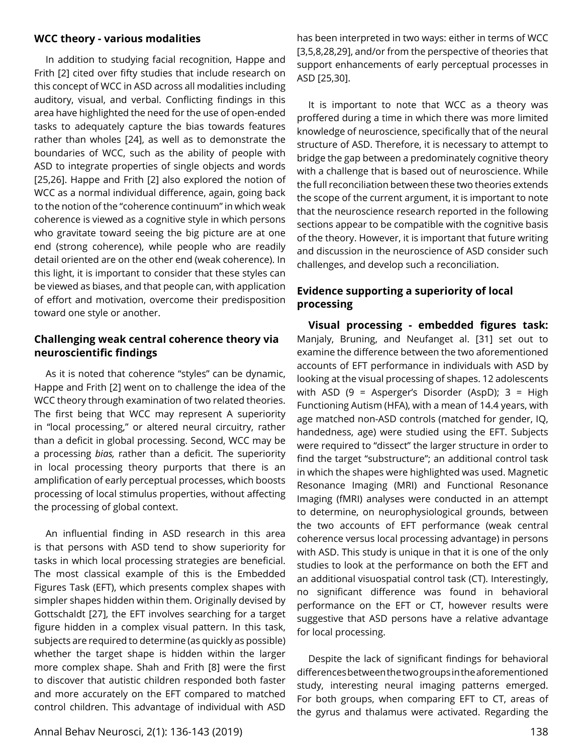#### **WCC theory - various modalities**

In addition to studying facial recognition, Happe and Frith [2] cited over fifty studies that include research on this concept of WCC in ASD across all modalities including auditory, visual, and verbal. Conflicting findings in this area have highlighted the need for the use of open-ended tasks to adequately capture the bias towards features rather than wholes [24], as well as to demonstrate the boundaries of WCC, such as the ability of people with ASD to integrate properties of single objects and words [25,26]. Happe and Frith [2] also explored the notion of WCC as a normal individual difference, again, going back to the notion of the "coherence continuum" in which weak coherence is viewed as a cognitive style in which persons who gravitate toward seeing the big picture are at one end (strong coherence), while people who are readily detail oriented are on the other end (weak coherence). In this light, it is important to consider that these styles can be viewed as biases, and that people can, with application of effort and motivation, overcome their predisposition toward one style or another.

## **Challenging weak central coherence theory via neuroscientific findings**

As it is noted that coherence "styles" can be dynamic, Happe and Frith [2] went on to challenge the idea of the WCC theory through examination of two related theories. The first being that WCC may represent A superiority in "local processing," or altered neural circuitry, rather than a deficit in global processing. Second, WCC may be a processing *bias,* rather than a deficit. The superiority in local processing theory purports that there is an amplification of early perceptual processes, which boosts processing of local stimulus properties, without affecting the processing of global context.

An influential finding in ASD research in this area is that persons with ASD tend to show superiority for tasks in which local processing strategies are beneficial. The most classical example of this is the Embedded Figures Task (EFT), which presents complex shapes with simpler shapes hidden within them. Originally devised by Gottschaldt [27], the EFT involves searching for a target figure hidden in a complex visual pattern. In this task, subjects are required to determine (as quickly as possible) whether the target shape is hidden within the larger more complex shape. Shah and Frith [8] were the first to discover that autistic children responded both faster and more accurately on the EFT compared to matched control children. This advantage of individual with ASD

has been interpreted in two ways: either in terms of WCC [3,5,8,28,29], and/or from the perspective of theories that support enhancements of early perceptual processes in ASD [25,30].

It is important to note that WCC as a theory was proffered during a time in which there was more limited knowledge of neuroscience, specifically that of the neural structure of ASD. Therefore, it is necessary to attempt to bridge the gap between a predominately cognitive theory with a challenge that is based out of neuroscience. While the full reconciliation between these two theories extends the scope of the current argument, it is important to note that the neuroscience research reported in the following sections appear to be compatible with the cognitive basis of the theory. However, it is important that future writing and discussion in the neuroscience of ASD consider such challenges, and develop such a reconciliation.

# **Evidence supporting a superiority of local processing**

**Visual processing - embedded figures task:**  Manjaly, Bruning, and Neufanget al. [31] set out to examine the difference between the two aforementioned accounts of EFT performance in individuals with ASD by looking at the visual processing of shapes. 12 adolescents with ASD (9 = Asperger's Disorder (AspD); 3 = High Functioning Autism (HFA), with a mean of 14.4 years, with age matched non-ASD controls (matched for gender, IQ, handedness, age) were studied using the EFT. Subjects were required to "dissect" the larger structure in order to find the target "substructure"; an additional control task in which the shapes were highlighted was used. Magnetic Resonance Imaging (MRI) and Functional Resonance Imaging (fMRI) analyses were conducted in an attempt to determine, on neurophysiological grounds, between the two accounts of EFT performance (weak central coherence versus local processing advantage) in persons with ASD. This study is unique in that it is one of the only studies to look at the performance on both the EFT and an additional visuospatial control task (CT). Interestingly, no significant difference was found in behavioral performance on the EFT or CT, however results were suggestive that ASD persons have a relative advantage for local processing.

Despite the lack of significant findings for behavioral differences between the two groups in the aforementioned study, interesting neural imaging patterns emerged. For both groups, when comparing EFT to CT, areas of the gyrus and thalamus were activated. Regarding the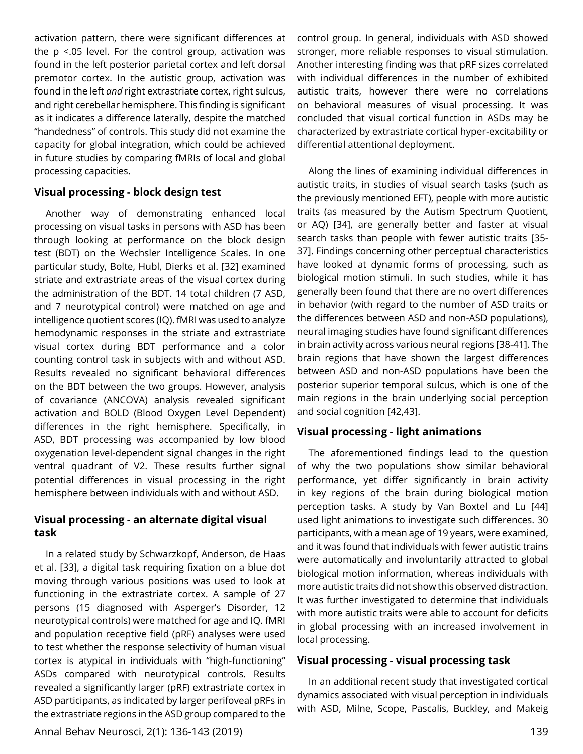activation pattern, there were significant differences at the p <.05 level. For the control group, activation was found in the left posterior parietal cortex and left dorsal premotor cortex. In the autistic group, activation was found in the left *and* right extrastriate cortex, right sulcus, and right cerebellar hemisphere. This finding is significant as it indicates a difference laterally, despite the matched "handedness" of controls. This study did not examine the capacity for global integration, which could be achieved in future studies by comparing fMRIs of local and global processing capacities.

### **Visual processing - block design test**

Another way of demonstrating enhanced local processing on visual tasks in persons with ASD has been through looking at performance on the block design test (BDT) on the Wechsler Intelligence Scales. In one particular study, Bolte, Hubl, Dierks et al. [32] examined striate and extrastriate areas of the visual cortex during the administration of the BDT. 14 total children (7 ASD, and 7 neurotypical control) were matched on age and intelligence quotient scores (IQ). fMRI was used to analyze hemodynamic responses in the striate and extrastriate visual cortex during BDT performance and a color counting control task in subjects with and without ASD. Results revealed no significant behavioral differences on the BDT between the two groups. However, analysis of covariance (ANCOVA) analysis revealed significant activation and BOLD (Blood Oxygen Level Dependent) differences in the right hemisphere. Specifically, in ASD, BDT processing was accompanied by low blood oxygenation level-dependent signal changes in the right ventral quadrant of V2. These results further signal potential differences in visual processing in the right hemisphere between individuals with and without ASD.

## **Visual processing - an alternate digital visual task**

In a related study by Schwarzkopf, Anderson, de Haas et al. [33], a digital task requiring fixation on a blue dot moving through various positions was used to look at functioning in the extrastriate cortex. A sample of 27 persons (15 diagnosed with Asperger's Disorder, 12 neurotypical controls) were matched for age and IQ. fMRI and population receptive field (pRF) analyses were used to test whether the response selectivity of human visual cortex is atypical in individuals with "high-functioning" ASDs compared with neurotypical controls. Results revealed a significantly larger (pRF) extrastriate cortex in ASD participants, as indicated by larger perifoveal pRFs in the extrastriate regions in the ASD group compared to the

Annal Behav Neurosci, 2(1): 136-143 (2019) 139

control group. In general, individuals with ASD showed stronger, more reliable responses to visual stimulation. Another interesting finding was that pRF sizes correlated with individual differences in the number of exhibited autistic traits, however there were no correlations on behavioral measures of visual processing. It was concluded that visual cortical function in ASDs may be characterized by extrastriate cortical hyper-excitability or differential attentional deployment.

Along the lines of examining individual differences in autistic traits, in studies of visual search tasks (such as the previously mentioned EFT), people with more autistic traits (as measured by the Autism Spectrum Quotient, or AQ) [34], are generally better and faster at visual search tasks than people with fewer autistic traits [35- 37]. Findings concerning other perceptual characteristics have looked at dynamic forms of processing, such as biological motion stimuli. In such studies, while it has generally been found that there are no overt differences in behavior (with regard to the number of ASD traits or the differences between ASD and non-ASD populations), neural imaging studies have found significant differences in brain activity across various neural regions [38-41]. The brain regions that have shown the largest differences between ASD and non-ASD populations have been the posterior superior temporal sulcus, which is one of the main regions in the brain underlying social perception and social cognition [42,43].

## **Visual processing - light animations**

The aforementioned findings lead to the question of why the two populations show similar behavioral performance, yet differ significantly in brain activity in key regions of the brain during biological motion perception tasks. A study by Van Boxtel and Lu [44] used light animations to investigate such differences. 30 participants, with a mean age of 19 years, were examined, and it was found that individuals with fewer autistic trains were automatically and involuntarily attracted to global biological motion information, whereas individuals with more autistic traits did not show this observed distraction. It was further investigated to determine that individuals with more autistic traits were able to account for deficits in global processing with an increased involvement in local processing.

#### **Visual processing - visual processing task**

In an additional recent study that investigated cortical dynamics associated with visual perception in individuals with ASD, Milne, Scope, Pascalis, Buckley, and Makeig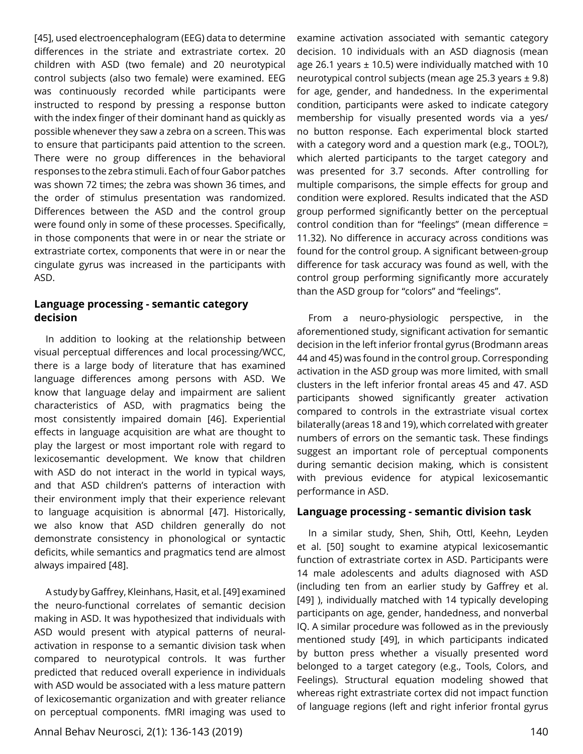[45], used electroencephalogram (EEG) data to determine differences in the striate and extrastriate cortex. 20 children with ASD (two female) and 20 neurotypical control subjects (also two female) were examined. EEG was continuously recorded while participants were instructed to respond by pressing a response button with the index finger of their dominant hand as quickly as possible whenever they saw a zebra on a screen. This was to ensure that participants paid attention to the screen. There were no group differences in the behavioral responses to the zebra stimuli. Each of four Gabor patches was shown 72 times; the zebra was shown 36 times, and the order of stimulus presentation was randomized. Differences between the ASD and the control group were found only in some of these processes. Specifically, in those components that were in or near the striate or extrastriate cortex, components that were in or near the cingulate gyrus was increased in the participants with ASD.

## **Language processing - semantic category decision**

In addition to looking at the relationship between visual perceptual differences and local processing/WCC, there is a large body of literature that has examined language differences among persons with ASD. We know that language delay and impairment are salient characteristics of ASD, with pragmatics being the most consistently impaired domain [46]. Experiential effects in language acquisition are what are thought to play the largest or most important role with regard to lexicosemantic development. We know that children with ASD do not interact in the world in typical ways, and that ASD children's patterns of interaction with their environment imply that their experience relevant to language acquisition is abnormal [47]. Historically, we also know that ASD children generally do not demonstrate consistency in phonological or syntactic deficits, while semantics and pragmatics tend are almost always impaired [48].

A study by Gaffrey, Kleinhans, Hasit, et al. [49] examined the neuro-functional correlates of semantic decision making in ASD. It was hypothesized that individuals with ASD would present with atypical patterns of neuralactivation in response to a semantic division task when compared to neurotypical controls. It was further predicted that reduced overall experience in individuals with ASD would be associated with a less mature pattern of lexicosemantic organization and with greater reliance on perceptual components. fMRI imaging was used to

Annal Behav Neurosci, 2(1): 136-143 (2019) 140

examine activation associated with semantic category decision. 10 individuals with an ASD diagnosis (mean age 26.1 years  $\pm$  10.5) were individually matched with 10 neurotypical control subjects (mean age 25.3 years ± 9.8) for age, gender, and handedness. In the experimental condition, participants were asked to indicate category membership for visually presented words via a yes/ no button response. Each experimental block started with a category word and a question mark (e.g., TOOL?), which alerted participants to the target category and was presented for 3.7 seconds. After controlling for multiple comparisons, the simple effects for group and condition were explored. Results indicated that the ASD group performed significantly better on the perceptual control condition than for "feelings" (mean difference = 11.32). No difference in accuracy across conditions was found for the control group. A significant between-group difference for task accuracy was found as well, with the control group performing significantly more accurately than the ASD group for "colors" and "feelings".

From a neuro-physiologic perspective, in the aforementioned study, significant activation for semantic decision in the left inferior frontal gyrus (Brodmann areas 44 and 45) was found in the control group. Corresponding activation in the ASD group was more limited, with small clusters in the left inferior frontal areas 45 and 47. ASD participants showed significantly greater activation compared to controls in the extrastriate visual cortex bilaterally (areas 18 and 19), which correlated with greater numbers of errors on the semantic task. These findings suggest an important role of perceptual components during semantic decision making, which is consistent with previous evidence for atypical lexicosemantic performance in ASD.

#### **Language processing - semantic division task**

In a similar study, Shen, Shih, Ottl, Keehn, Leyden et al. [50] sought to examine atypical lexicosemantic function of extrastriate cortex in ASD. Participants were 14 male adolescents and adults diagnosed with ASD (including ten from an earlier study by Gaffrey et al. [49] ), individually matched with 14 typically developing participants on age, gender, handedness, and nonverbal IQ. A similar procedure was followed as in the previously mentioned study [49], in which participants indicated by button press whether a visually presented word belonged to a target category (e.g., Tools, Colors, and Feelings). Structural equation modeling showed that whereas right extrastriate cortex did not impact function of language regions (left and right inferior frontal gyrus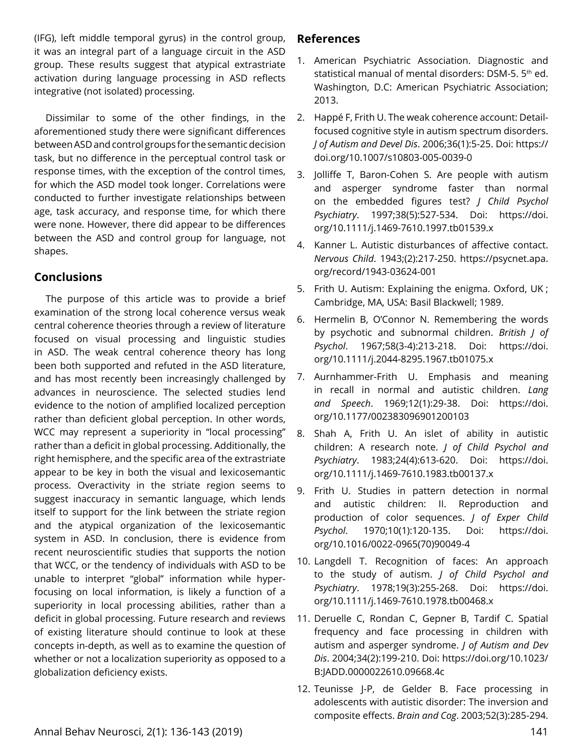(IFG), left middle temporal gyrus) in the control group, it was an integral part of a language circuit in the ASD group. These results suggest that atypical extrastriate activation during language processing in ASD reflects integrative (not isolated) processing.

Dissimilar to some of the other findings, in the aforementioned study there were significant differences between ASD and control groups for the semantic decision task, but no difference in the perceptual control task or response times, with the exception of the control times, for which the ASD model took longer. Correlations were conducted to further investigate relationships between age, task accuracy, and response time, for which there were none. However, there did appear to be differences between the ASD and control group for language, not shapes.

# **Conclusions**

The purpose of this article was to provide a brief examination of the strong local coherence versus weak central coherence theories through a review of literature focused on visual processing and linguistic studies in ASD. The weak central coherence theory has long been both supported and refuted in the ASD literature, and has most recently been increasingly challenged by advances in neuroscience. The selected studies lend evidence to the notion of amplified localized perception rather than deficient global perception. In other words, WCC may represent a superiority in "local processing" rather than a deficit in global processing. Additionally, the right hemisphere, and the specific area of the extrastriate appear to be key in both the visual and lexicosemantic process. Overactivity in the striate region seems to suggest inaccuracy in semantic language, which lends itself to support for the link between the striate region and the atypical organization of the lexicosemantic system in ASD. In conclusion, there is evidence from recent neuroscientific studies that supports the notion that WCC, or the tendency of individuals with ASD to be unable to interpret "global" information while hyperfocusing on local information, is likely a function of a superiority in local processing abilities, rather than a deficit in global processing. Future research and reviews of existing literature should continue to look at these concepts in-depth, as well as to examine the question of whether or not a localization superiority as opposed to a globalization deficiency exists.

# **References**

- 1. American Psychiatric Association. Diagnostic and statistical manual of mental disorders: DSM-5. 5<sup>th</sup> ed. Washington, D.C: American Psychiatric Association; 2013.
- 2. Happé F, Frith U. The weak coherence account: Detailfocused cognitive style in autism spectrum disorders. *J of Autism and Devel Dis*. 2006;36(1):5-25. Doi: [https://](https://doi.org/10.1007/s10803-005-0039-0) [doi.org/10.1007/s10803-005-0039-0](https://doi.org/10.1007/s10803-005-0039-0)
- 3. Jolliffe T, Baron-Cohen S. Are people with autism and asperger syndrome faster than normal on the embedded figures test? *J Child Psychol Psychiatry*. 1997;38(5):527-534. Doi: [https://doi.](https://doi.org/10.1111/j.1469-7610.1997.tb01539.x) [org/10.1111/j.1469-7610.1997.tb01539.x](https://doi.org/10.1111/j.1469-7610.1997.tb01539.x)
- 4. Kanner L. Autistic disturbances of affective contact. *Nervous Child*. 1943;(2):217-250. [https://psycnet.apa.](https://psycnet.apa.org/record/1943-03624-001) [org/record/1943-03624-001](https://psycnet.apa.org/record/1943-03624-001)
- 5. Frith U. Autism: Explaining the enigma. Oxford, UK ; Cambridge, MA, USA: Basil Blackwell; 1989.
- 6. Hermelin B, O'Connor N. Remembering the words by psychotic and subnormal children. *British J of Psychol*. 1967;58(3-4):213-218. Doi: [https://doi.](https://doi.org/10.1111/j.2044-8295.1967.tb01075.x) [org/10.1111/j.2044-8295.1967.tb01075.x](https://doi.org/10.1111/j.2044-8295.1967.tb01075.x)
- 7. Aurnhammer-Frith U. Emphasis and meaning in recall in normal and autistic children. *Lang and Speech*. 1969;12(1):29-38. Doi: [https://doi.](https://doi.org/10.1177/002383096901200103) [org/10.1177/002383096901200103](https://doi.org/10.1177/002383096901200103)
- 8. Shah A, Frith U. An islet of ability in autistic children: A research note. *J of Child Psychol and Psychiatry*. 1983;24(4):613-620. Doi: [https://doi.](https://doi.org/10.1111/j.1469-7610.1983.tb00137.x) [org/10.1111/j.1469-7610.1983.tb00137.x](https://doi.org/10.1111/j.1469-7610.1983.tb00137.x)
- 9. Frith U. Studies in pattern detection in normal and autistic children: II. Reproduction and production of color sequences. *J of Exper Child Psychol*. 1970;10(1):120-135. Doi: [https://doi.](https://doi.org/10.1016/0022-0965(70)90049-4) [org/10.1016/0022-0965\(70\)90049-4](https://doi.org/10.1016/0022-0965(70)90049-4)
- 10. Langdell T. Recognition of faces: An approach to the study of autism. *J of Child Psychol and Psychiatry*. 1978;19(3):255-268. Doi: [https://doi.](https://doi.org/10.1111/j.1469-7610.1978.tb00468.x) [org/10.1111/j.1469-7610.1978.tb00468.x](https://doi.org/10.1111/j.1469-7610.1978.tb00468.x)
- 11. Deruelle C, Rondan C, Gepner B, Tardif C. Spatial frequency and face processing in children with autism and asperger syndrome. *J of Autism and Dev Dis*. 2004;34(2):199-210. Doi: [https://doi.org/10.1023/](https://doi.org/10.1023/B:JADD.0000022610.09668.4c) [B:JADD.0000022610.09668.4c](https://doi.org/10.1023/B:JADD.0000022610.09668.4c)
- 12. Teunisse J-P, de Gelder B. Face processing in adolescents with autistic disorder: The inversion and composite effects. *Brain and Cog*. 2003;52(3):285-294.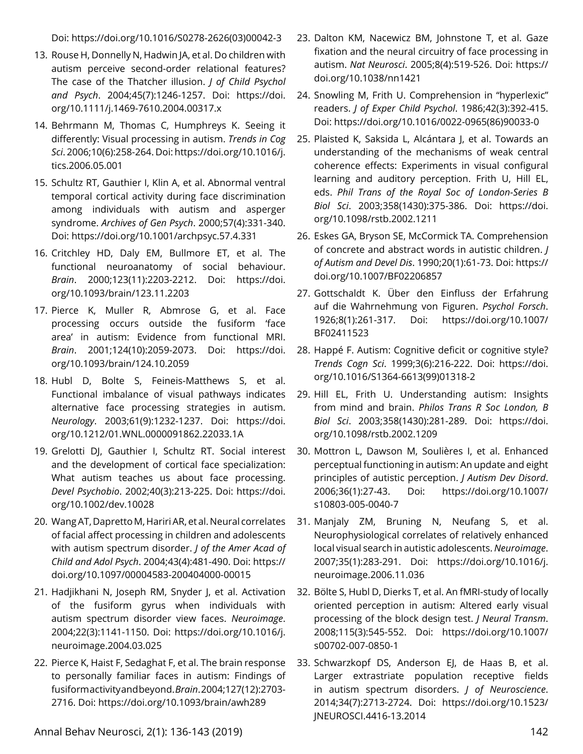Doi: [https://doi.org/10.1016/S0278-2626\(03\)00042-3](https://doi.org/10.1016/S0278-2626(03)00042-3)

- 13. Rouse H, Donnelly N, Hadwin JA, et al. Do children with autism perceive second-order relational features? The case of the Thatcher illusion. *J of Child Psychol and Psych*. 2004;45(7):1246-1257. Doi: [https://doi.](https://doi.org/10.1111/j.1469-7610.2004.00317.x) [org/10.1111/j.1469-7610.2004.00317.x](https://doi.org/10.1111/j.1469-7610.2004.00317.x)
- 14. Behrmann M, Thomas C, Humphreys K. Seeing it differently: Visual processing in autism. *Trends in Cog Sci*. 2006;10(6):258-264. Doi: [https://doi.org/10.1016/j.](https://doi.org/10.1016/j.tics.2006.05.001) [tics.2006.05.001](https://doi.org/10.1016/j.tics.2006.05.001)
- 15. Schultz RT, Gauthier I, Klin A, et al. Abnormal ventral temporal cortical activity during face discrimination among individuals with autism and asperger syndrome. *Archives of Gen Psych*. 2000;57(4):331-340. Doi:<https://doi.org/10.1001/archpsyc.57.4.331>
- 16. Critchley HD, Daly EM, Bullmore ET, et al. The functional neuroanatomy of social behaviour. *Brain*. 2000;123(11):2203-2212. Doi: [https://doi.](https://doi.org/10.1093/brain/123.11.2203) [org/10.1093/brain/123.11.2203](https://doi.org/10.1093/brain/123.11.2203)
- 17. Pierce K, Muller R, Abmrose G, et al. Face processing occurs outside the fusiform 'face area' in autism: Evidence from functional MRI. *Brain*. 2001;124(10):2059-2073. Doi: [https://doi.](https://doi.org/10.1093/brain/124.10.2059) [org/10.1093/brain/124.10.2059](https://doi.org/10.1093/brain/124.10.2059)
- 18. Hubl D, Bolte S, Feineis-Matthews S, et al. Functional imbalance of visual pathways indicates alternative face processing strategies in autism. *Neurology*. 2003;61(9):1232-1237. Doi: [https://doi.](https://doi.org/10.1212/01.WNL.0000091862.22033.1A) [org/10.1212/01.WNL.0000091862.22033.1A](https://doi.org/10.1212/01.WNL.0000091862.22033.1A)
- 19. Grelotti DJ, Gauthier I, Schultz RT. Social interest and the development of cortical face specialization: What autism teaches us about face processing. *Devel Psychobio*. 2002;40(3):213-225. Doi: [https://doi.](https://doi.org/10.1002/dev.10028) [org/10.1002/dev.10028](https://doi.org/10.1002/dev.10028)
- 20. Wang AT, Dapretto M, Hariri AR, et al. Neural correlates of facial affect processing in children and adolescents with autism spectrum disorder. *J of the Amer Acad of Child and Adol Psych*. 2004;43(4):481-490. Doi: [https://](https://doi.org/10.1097/00004583-200404000-00015) [doi.org/10.1097/00004583-200404000-00015](https://doi.org/10.1097/00004583-200404000-00015)
- 21. Hadjikhani N, Joseph RM, Snyder J, et al. Activation of the fusiform gyrus when individuals with autism spectrum disorder view faces. *Neuroimage*. 2004;22(3):1141-1150. Doi: [https://doi.org/10.1016/j.](https://doi.org/10.1016/j.neuroimage.2004.03.025) [neuroimage.2004.03.025](https://doi.org/10.1016/j.neuroimage.2004.03.025)
- 22. Pierce K, Haist F, Sedaghat F, et al. The brain response to personally familiar faces in autism: Findings of fusiform activity and beyond. *Brain*. 2004;127(12):2703- 2716. Doi:<https://doi.org/10.1093/brain/awh289>
- 23. Dalton KM, Nacewicz BM, Johnstone T, et al. Gaze fixation and the neural circuitry of face processing in autism. *Nat Neurosci*. 2005;8(4):519-526. Doi: [https://](https://doi.org/10.1038/nn1421) [doi.org/10.1038/nn1421](https://doi.org/10.1038/nn1421)
- 24. Snowling M, Frith U. Comprehension in "hyperlexic" readers. *J of Exper Child Psychol*. 1986;42(3):392-415. Doi: [https://doi.org/10.1016/0022-0965\(86\)90033-0](https://doi.org/10.1016/0022-0965(86)90033-0)
- 25. Plaisted K, Saksida L, Alcántara J, et al. Towards an understanding of the mechanisms of weak central coherence effects: Experiments in visual configural learning and auditory perception. Frith U, Hill EL, eds. *Phil Trans of the Royal Soc of London-Series B Biol Sci*. 2003;358(1430):375-386. Doi: [https://doi.](https://doi.org/10.1098/rstb.2002.1211) [org/10.1098/rstb.2002.1211](https://doi.org/10.1098/rstb.2002.1211)
- 26. Eskes GA, Bryson SE, McCormick TA. Comprehension of concrete and abstract words in autistic children. *J of Autism and Devel Dis*. 1990;20(1):61-73. Doi: [https://](https://doi.org/10.1007/BF02206857) [doi.org/10.1007/BF02206857](https://doi.org/10.1007/BF02206857)
- 27. Gottschaldt K. Über den Einfluss der Erfahrung auf die Wahrnehmung von Figuren. *Psychol Forsch*. 1926;8(1):261-317. Doi: [https://doi.org/10.1007/](https://doi.org/10.1007/BF02411523) [BF02411523](https://doi.org/10.1007/BF02411523)
- 28. Happé F. Autism: Cognitive deficit or cognitive style? *Trends Cogn Sci*. 1999;3(6):216-222. Doi: [https://doi.](https://doi.org/10.1016/S1364-6613(99)01318-2) [org/10.1016/S1364-6613\(99\)01318-2](https://doi.org/10.1016/S1364-6613(99)01318-2)
- 29. Hill EL, Frith U. Understanding autism: Insights from mind and brain. *Philos Trans R Soc London, B Biol Sci*. 2003;358(1430):281-289. Doi: [https://doi.](https://doi.org/10.1098/rstb.2002.1209) [org/10.1098/rstb.2002.1209](https://doi.org/10.1098/rstb.2002.1209)
- 30. Mottron L, Dawson M, Soulières I, et al. Enhanced perceptual functioning in autism: An update and eight principles of autistic perception. *J Autism Dev Disord*. 2006;36(1):27-43. Doi: [https://doi.org/10.1007/](https://doi.org/10.1007/s10803-005-0040-7) [s10803-005-0040-7](https://doi.org/10.1007/s10803-005-0040-7)
- 31. Manjaly ZM, Bruning N, Neufang S, et al. Neurophysiological correlates of relatively enhanced local visual search in autistic adolescents. *Neuroimage*. 2007;35(1):283-291. Doi: [https://doi.org/10.1016/j.](https://doi.org/10.1016/j.neuroimage.2006.11.036) [neuroimage.2006.11.036](https://doi.org/10.1016/j.neuroimage.2006.11.036)
- 32. Bölte S, Hubl D, Dierks T, et al. An fMRI-study of locally oriented perception in autism: Altered early visual processing of the block design test. *J Neural Transm*. 2008;115(3):545-552. Doi: [https://doi.org/10.1007/](https://doi.org/10.1007/s00702-007-0850-1) [s00702-007-0850-1](https://doi.org/10.1007/s00702-007-0850-1)
- 33. Schwarzkopf DS, Anderson EJ, de Haas B, et al. Larger extrastriate population receptive fields in autism spectrum disorders. *J of Neuroscience*. 2014;34(7):2713-2724. Doi: [https://doi.org/10.1523/](https://doi.org/10.1523/JNEUROSCI.4416-13.2014) [JNEUROSCI.4416-13.2014](https://doi.org/10.1523/JNEUROSCI.4416-13.2014)